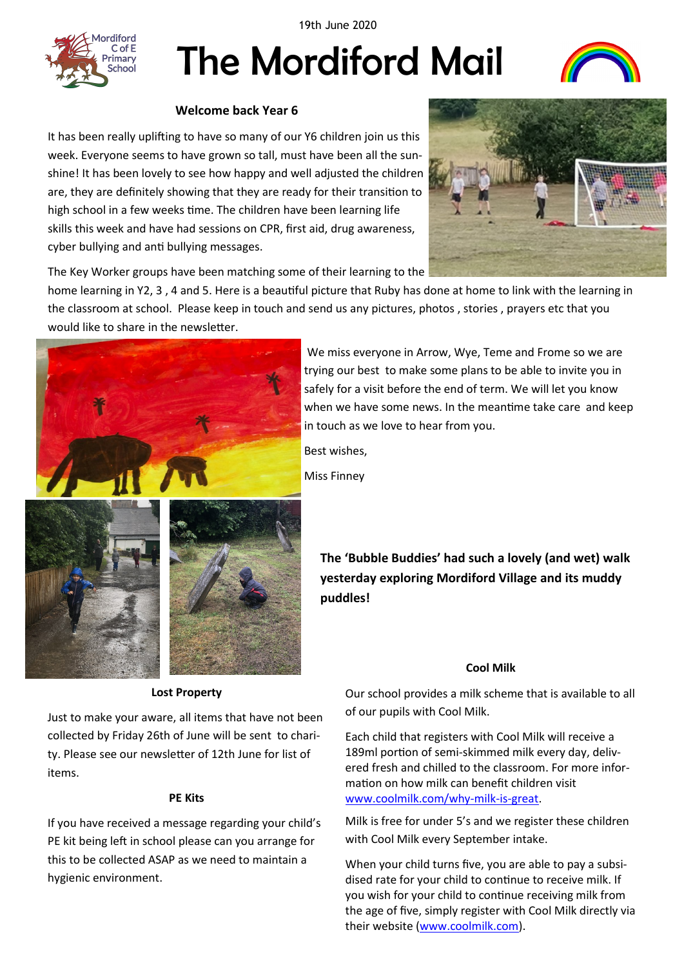19th June 2020

diford  $C$  of  $F$ imary chool

# The Mordiford Mail



## **Welcome back Year 6**

It has been really uplifting to have so many of our Y6 children join us this week. Everyone seems to have grown so tall, must have been all the sunshine! It has been lovely to see how happy and well adjusted the children are, they are definitely showing that they are ready for their transition to high school in a few weeks time. The children have been learning life skills this week and have had sessions on CPR, first aid, drug awareness, cyber bullying and anti bullying messages.



The Key Worker groups have been matching some of their learning to the

home learning in Y2, 3 , 4 and 5. Here is a beautiful picture that Ruby has done at home to link with the learning in the classroom at school. Please keep in touch and send us any pictures, photos , stories , prayers etc that you would like to share in the newsletter.



We miss everyone in Arrow, Wye, Teme and Frome so we are trying our best to make some plans to be able to invite you in safely for a visit before the end of term. We will let you know when we have some news. In the meantime take care and keep in touch as we love to hear from you.

Best wishes,

Miss Finney



#### **Cool Milk**

**Lost Property**

Just to make your aware, all items that have not been collected by Friday 26th of June will be sent to charity. Please see our newsletter of 12th June for list of items.

#### **PE Kits**

If you have received a message regarding your child's PE kit being left in school please can you arrange for this to be collected ASAP as we need to maintain a hygienic environment.

Our school provides a milk scheme that is available to all of our pupils with Cool Milk.

Each child that registers with Cool Milk will receive a 189ml portion of semi-skimmed milk every day, delivered fresh and chilled to the classroom. For more information on how milk can benefit children visit [www.coolmilk.com/why](http://www.coolmilk.com/why-milk-is-great)-milk-is-great.

Milk is free for under 5's and we register these children with Cool Milk every September intake.

When your child turns five, you are able to pay a subsidised rate for your child to continue to receive milk. If you wish for your child to continue receiving milk from the age of five, simply register with Cool Milk directly via their website ([www.coolmilk.com\).](http://www.coolmilk.com)